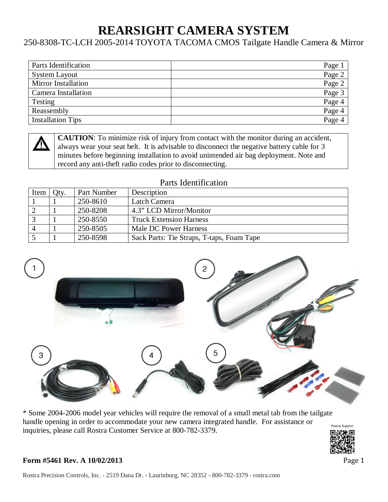# **REARSIGHT CAMERA SYSTEM**

## 250-8308-TC-LCH 2005-2014 TOYOTA TACOMA CMOS Tailgate Handle Camera & Mirror

| Parts Identification       | Page 1 |
|----------------------------|--------|
| <b>System Layout</b>       | Page 2 |
| <b>Mirror Installation</b> | Page 2 |
| Camera Installation        | Page 3 |
| Testing                    | Page 4 |
| Reassembly                 | Page 4 |
| <b>Installation Tips</b>   | Page 4 |
|                            |        |

**CAUTION**: To minimize risk of injury from contact with the monitor during an accident, always wear your seat belt. It is advisable to disconnect the negative battery cable for 3 minutes before beginning installation to avoid unintended air bag deployment. Note and record any anti-theft radio codes prior to disconnecting.

#### Parts Identification

| Item $\vert$ | Oty. | Part Number | Description                               |
|--------------|------|-------------|-------------------------------------------|
|              |      | 250-8610    | Latch Camera                              |
|              |      | 250-8208    | 4.3" LCD Mirror/Monitor                   |
|              |      | 250-8550    | <b>Truck Extension Harness</b>            |
|              |      | 250-8505    | Male DC Power Harness                     |
|              |      | 250-8598    | Sack Parts: Tie Straps, T-taps, Foam Tape |



\* Some 2004-2006 model year vehicles will require the removal of a small metal tab from the tailgate handle opening in order to accommodate your new camera integrated handle. For assistance or inquiries, please call Rostra Customer Service at 800-782-3379.

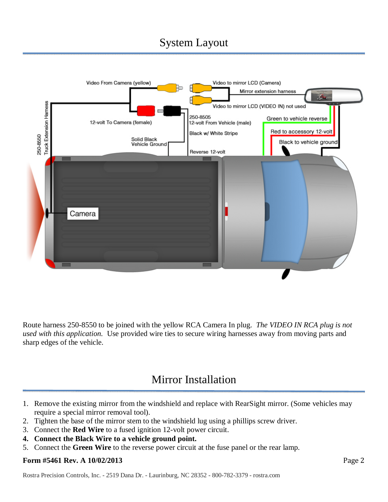## System Layout



Route harness 250-8550 to be joined with the yellow RCA Camera In plug. *The VIDEO IN RCA plug is not used with this application.* Use provided wire ties to secure wiring harnesses away from moving parts and sharp edges of the vehicle.

## Mirror Installation

- 1. Remove the existing mirror from the windshield and replace with RearSight mirror. (Some vehicles may require a special mirror removal tool).
- 2. Tighten the base of the mirror stem to the windshield lug using a phillips screw driver.
- 3. Connect the **Red Wire** to a fused ignition 12-volt power circuit.
- **4. Connect the Black Wire to a vehicle ground point.**
- 5. Connect the **Green Wire** to the reverse power circuit at the fuse panel or the rear lamp.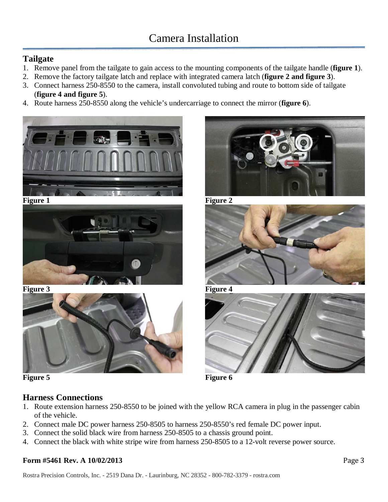## **Tailgate**

- 1. Remove panel from the tailgate to gain access to the mounting components of the tailgate handle (**figure 1**).
- 2. Remove the factory tailgate latch and replace with integrated camera latch (**figure 2 and figure 3**).
- 3. Connect harness 250-8550 to the camera, install convoluted tubing and route to bottom side of tailgate (**figure 4 and figure 5**).
- 4. Route harness 250-8550 along the vehicle's undercarriage to connect the mirror (**figure 6**).











## **Harness Connections**

- 1. Route extension harness 250-8550 to be joined with the yellow RCA camera in plug in the passenger cabin of the vehicle.
- 2. Connect male DC power harness 250-8505 to harness 250-8550's red female DC power input.
- 3. Connect the solid black wire from harness 250-8505 to a chassis ground point.
- 4. Connect the black with white stripe wire from harness 250-8505 to a 12-volt reverse power source.





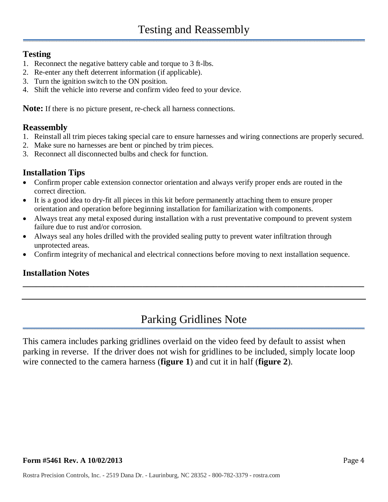#### **Testing**

- 1. Reconnect the negative battery cable and torque to 3 ft-lbs.
- 2. Re-enter any theft deterrent information (if applicable).
- 3. Turn the ignition switch to the ON position.
- 4. Shift the vehicle into reverse and confirm video feed to your device.

**Note:** If there is no picture present, re-check all harness connections.

#### **Reassembly**

- 1. Reinstall all trim pieces taking special care to ensure harnesses and wiring connections are properly secured.
- 2. Make sure no harnesses are bent or pinched by trim pieces.
- 3. Reconnect all disconnected bulbs and check for function.

### **Installation Tips**

- Confirm proper cable extension connector orientation and always verify proper ends are routed in the correct direction.
- It is a good idea to dry-fit all pieces in this kit before permanently attaching them to ensure proper orientation and operation before beginning installation for familiarization with components.
- Always treat any metal exposed during installation with a rust preventative compound to prevent system failure due to rust and/or corrosion.
- Always seal any holes drilled with the provided sealing putty to prevent water infiltration through unprotected areas.
- Confirm integrity of mechanical and electrical connections before moving to next installation sequence.

## **Installation Notes**

## Parking Gridlines Note

**\_\_\_\_\_\_\_\_\_\_\_\_\_\_\_\_\_\_\_\_\_\_\_\_\_\_\_\_\_\_\_\_\_\_\_\_\_\_\_\_\_\_\_\_\_\_\_\_\_\_\_\_\_\_\_\_\_\_\_\_\_\_\_\_\_\_\_\_\_\_\_\_\_\_\_\_\_** 

This camera includes parking gridlines overlaid on the video feed by default to assist when parking in reverse. If the driver does not wish for gridlines to be included, simply locate loop wire connected to the camera harness (**figure 1**) and cut it in half (**figure 2**).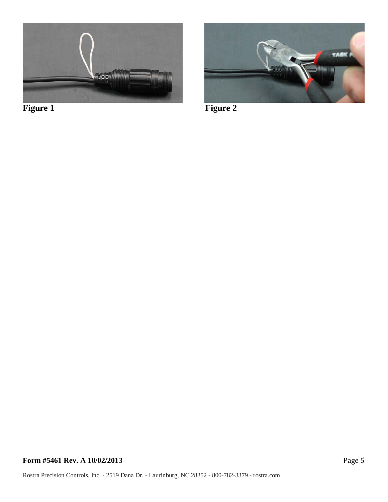